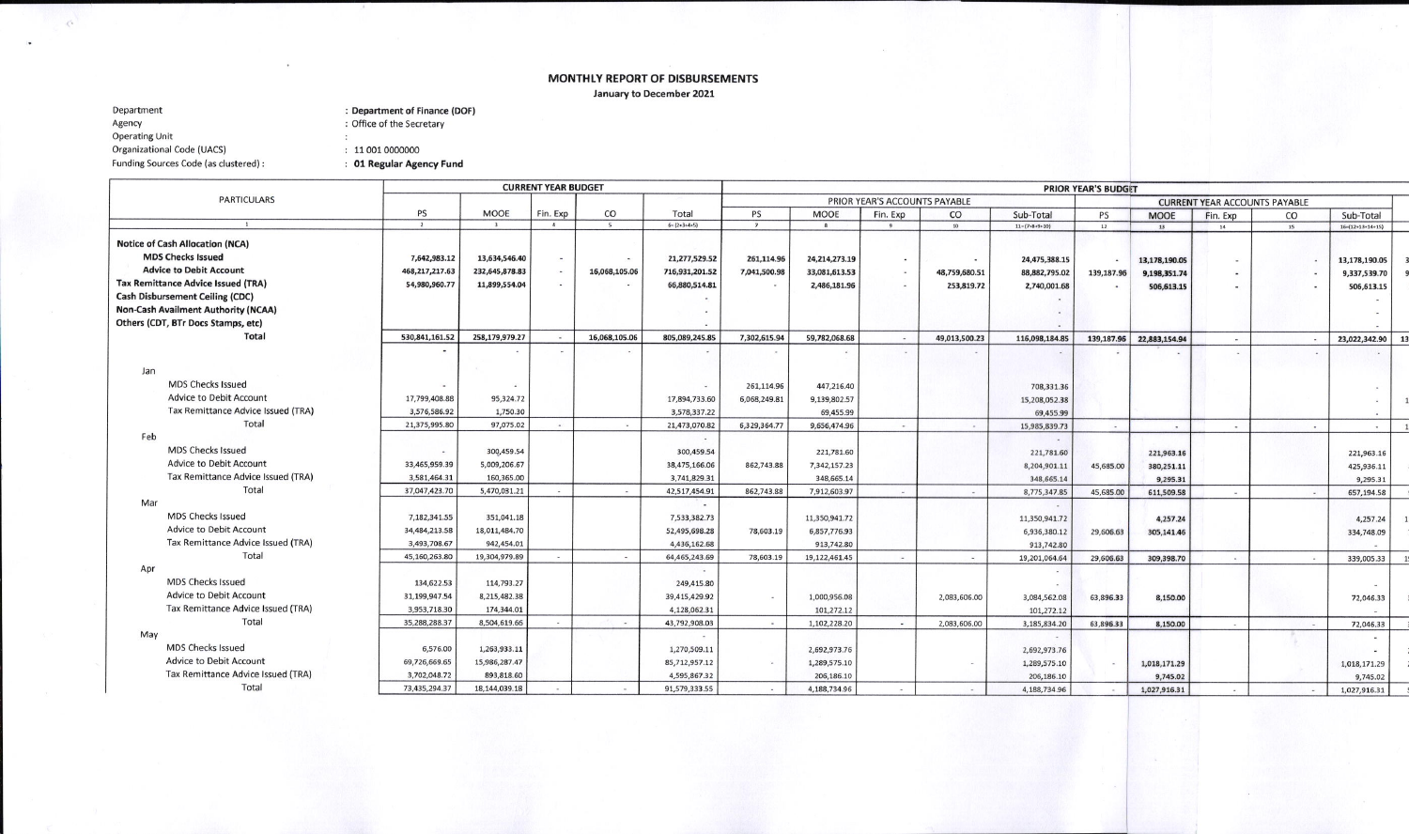## MONTHLY REPORT OF DISBURSEMENTS January to December 2021

## : Department of Finance (DOF)<br>: Office of the Secretary

 $\ddot{\cdot}$ 

Agency **Operating Unit** Organizational Code (UACS) Funding Sources Code (as clustered) :

Department

 $\mathfrak{S}$ 

 $\bullet$ 

 $: 110010000000$ 

: 01 Regular Agency Fund

|                                                                                                                                                                                                                                                                          |                                                                | <b>CURRENT YEAR BUDGET</b>                                      |                        | <b>PRIOR YEAR'S BUDGET</b> |                                                                |                                                                       |                                                              |                  |                             |                                                              |                        |                                             |                |                          |                                             |                |
|--------------------------------------------------------------------------------------------------------------------------------------------------------------------------------------------------------------------------------------------------------------------------|----------------------------------------------------------------|-----------------------------------------------------------------|------------------------|----------------------------|----------------------------------------------------------------|-----------------------------------------------------------------------|--------------------------------------------------------------|------------------|-----------------------------|--------------------------------------------------------------|------------------------|---------------------------------------------|----------------|--------------------------|---------------------------------------------|----------------|
| <b>PARTICULARS</b>                                                                                                                                                                                                                                                       |                                                                |                                                                 |                        |                            |                                                                | PRIOR YEAR'S ACCOUNTS PAYABLE<br><b>CURRENT YEAR ACCOUNTS PAYABLE</b> |                                                              |                  |                             |                                                              |                        |                                             |                |                          |                                             |                |
|                                                                                                                                                                                                                                                                          | PS                                                             | <b>MOOE</b>                                                     | Fin. Exp               | $_{\rm CO}$                | Total                                                          | PS                                                                    | <b>MOOE</b>                                                  | Fin. Exp         | $\rm{CO}$                   | Sub-Total                                                    | PS                     | <b>MOOE</b>                                 | Fin. Exp       | CO                       | Sub-Total                                   |                |
| $\mathbf{1}$                                                                                                                                                                                                                                                             | $\overline{2}$                                                 | $\overline{\mathbf{3}}$                                         | $\overline{4}$         | $-5$                       | $6 = (2+3+4+5)$                                                | $\overline{7}$                                                        | 8                                                            | 9                | 10                          | $11 = (7 + 8 + 9 + 10)$                                      | 12                     | 13                                          | 14             | 15                       | $16 = (12 + 13 + 14 + 15)$                  |                |
| <b>Notice of Cash Allocation (NCA)</b><br><b>MDS Checks Issued</b><br><b>Advice to Debit Account</b><br><b>Tax Remittance Advice Issued (TRA)</b><br><b>Cash Disbursement Ceiling (CDC)</b><br>Non-Cash Availment Authority (NCAA)<br>Others (CDT, BTr Docs Stamps, etc) | 7,642,983.12<br>468,217,217.63<br>54,980,960.77                | 13,634,546.40<br>232,645,878.83<br>11,899,554.04                | ×.<br>$\sim$<br>$\sim$ | 16,068,105.06              | 21,277,529.52<br>716,931,201.52<br>66,880,514.81               | 261,114.96<br>7,041,500.98<br>$\sim$                                  | 24,214,273.19<br>33,081,613.53<br>2,486,181.96               | $\sim$<br>$\sim$ | 48,759,680.51<br>253,819.72 | 24,475,388.15<br>88,882,795.02<br>2,740,001.68               | 139,187.96             | 13,178,190.05<br>9,198,351.74<br>506,613.15 | $\blacksquare$ | $\overline{\phantom{a}}$ | 13,178,190.05<br>9,337,539.70<br>506,613.15 |                |
| Total                                                                                                                                                                                                                                                                    | 530,841,161.52                                                 | 258,179,979.27                                                  |                        | 16,068,105.06              | 805,089,245.85                                                 | 7,302,615.94                                                          | 59,782,068.68                                                | $\sim$           | 49,013,500.23               | 116,098,184.85                                               | 139,187.96             | 22,883,154.94                               | $\sim$         | $\overline{\phantom{a}}$ | 23,022,342.90                               | 1 <sup>2</sup> |
| Jan<br><b>MDS Checks Issued</b><br><b>Advice to Debit Account</b><br>Tax Remittance Advice Issued (TRA)                                                                                                                                                                  | 17,799,408.88<br>3,576,586.92                                  | 95,324.72<br>1,750.30                                           |                        |                            | $\overline{\phantom{a}}$<br>17,894,733.60<br>3,578,337.22      | 261,114.96<br>6,068,249.81                                            | 447,216.40<br>9,139,802.57<br>69.455.99                      |                  |                             | 708,331.36<br>15,208,052.38                                  |                        |                                             |                |                          |                                             |                |
| Total                                                                                                                                                                                                                                                                    | 21,375,995.80                                                  | 97,075.02                                                       |                        |                            | 21,473,070.82                                                  | 6,329,364.77                                                          | 9,656,474.96                                                 |                  |                             | 69,455.99                                                    |                        |                                             |                |                          |                                             |                |
| Feb                                                                                                                                                                                                                                                                      |                                                                |                                                                 |                        |                            |                                                                |                                                                       |                                                              | $\sim$           | $\rightarrow$               | 15,985,839.73                                                | $\overline{a}$         | $\overline{a}$                              | $\sim$         | $\overline{a}$           | $\sim$                                      |                |
| <b>MDS Checks Issued</b><br><b>Advice to Debit Account</b><br>Tax Remittance Advice Issued (TRA)                                                                                                                                                                         | 33,465,959.39<br>3,581,464.31                                  | 300,459.54<br>5,009,206.67<br>160,365.00                        |                        |                            | 300,459.54<br>38,475,166.06<br>3,741,829.31                    | 862,743.88                                                            | 221,781.60<br>7,342,157.23<br>348,665.14                     |                  |                             | 221,781.60<br>8,204,901.11<br>348,665.14                     | 45,685.00              | 221,963.16<br>380,251.11<br>9,295.31        |                |                          | 221,963.16<br>425,936.11<br>9,295.31        |                |
| Total                                                                                                                                                                                                                                                                    | 37,047,423.70                                                  | 5,470,031.21                                                    |                        |                            | 42,517,454.91                                                  | 862,743.88                                                            | 7,912,603.97                                                 | $\sim$           | $\sim$                      | 8,775,347.85                                                 | 45,685.00              | 611,509.58                                  |                | $\sim$                   | 657,194.58                                  |                |
| Mar<br><b>MDS Checks Issued</b><br>Advice to Debit Account<br>Tax Remittance Advice Issued (TRA)<br>Total                                                                                                                                                                | 7,182,341.55<br>34,484,213.58<br>3,493,708.67<br>45,160,263.80 | 351,041.18<br>18,011,484.70<br>942,454.01<br>19,304,979.89      |                        |                            | 7,533,382.73<br>52,495,698.28<br>4,436,162.68<br>64,465,243.69 | 78,603.19<br>78,603.19                                                | 11,350,941.72<br>6,857,776.93<br>913,742.80<br>19,122,461.45 |                  |                             | 11,350,941.72<br>6,936,380.12<br>913,742.80<br>19,201,064.64 | 29.606.63<br>29,606.63 | 4,257.24<br>305,141.46<br>309,398.70        |                |                          | 4,257.24<br>334,748.09                      |                |
| Apr                                                                                                                                                                                                                                                                      |                                                                |                                                                 |                        |                            |                                                                |                                                                       |                                                              |                  |                             |                                                              |                        |                                             |                |                          | 339,005.33                                  |                |
| <b>MDS Checks Issued</b><br>Advice to Debit Account<br>Tax Remittance Advice Issued (TRA)<br>Total                                                                                                                                                                       | 134,622.53<br>31,199,947.54<br>3,953,718.30                    | 114,793.27<br>8,215,482.38<br>174,344.01                        |                        |                            | 249,415.80<br>39,415,429.92<br>4,128,062.31                    |                                                                       | 1,000,956.08<br>101,272.12                                   |                  | 2,083,606.00                | 3,084,562.08<br>101,272.12                                   | 63,896.33              | 8,150.00                                    |                |                          | 72,046.33                                   |                |
|                                                                                                                                                                                                                                                                          | 35,288,288.37                                                  | 8,504,619.66                                                    |                        |                            | 43,792,908.03                                                  | $\sim$                                                                | 1,102,228.20                                                 | $\sim$           | 2,083,606.00                | 3,185,834.20                                                 | 63,896.33              | 8,150.00                                    |                | <b>100</b>               | 72,046.33                                   |                |
| May<br><b>MDS Checks Issued</b><br><b>Advice to Debit Account</b><br>Tax Remittance Advice Issued (TRA)<br>Total                                                                                                                                                         | 6,576.00<br>69,726,669.65<br>3,702,048.72<br>73,435,294.37     | 1,263,933.11<br>15,986,287.47<br>893,818.60<br>18, 144, 039. 18 |                        |                            | 1,270,509.11<br>85,712,957.12<br>4,595,867.32<br>91,579,333.55 |                                                                       | 2,692,973.76<br>1,289,575.10<br>206,186.10<br>4,188,734.96   |                  |                             | 2,692,973.76<br>1,289,575.10<br>206,186.10<br>4,188,734.96   |                        | 1,018,171.29<br>9,745.02<br>1,027,916.31    |                |                          | 1,018,171.29<br>9,745.02<br>1,027,916.31    |                |
|                                                                                                                                                                                                                                                                          |                                                                |                                                                 |                        |                            |                                                                |                                                                       |                                                              |                  |                             |                                                              |                        |                                             |                |                          |                                             |                |